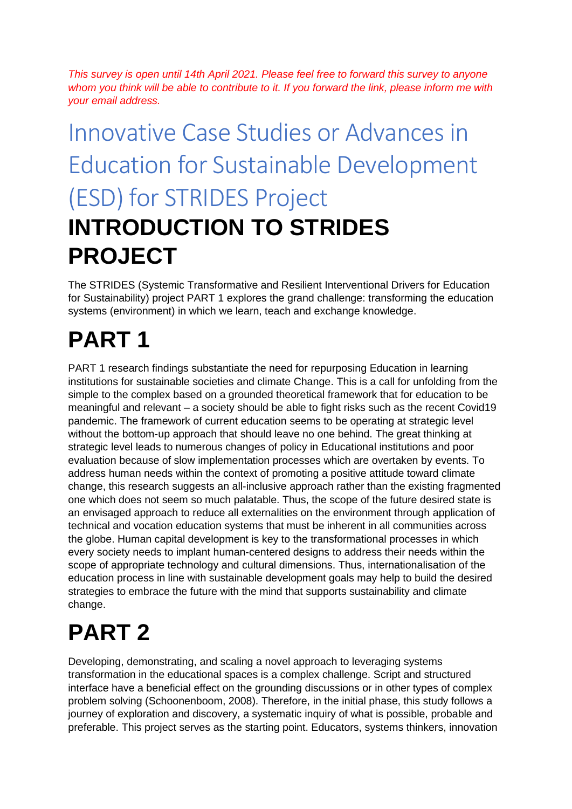*This survey is open until 14th April 2021. Please feel free to forward this survey to anyone whom you think will be able to contribute to it. If you forward the link, please inform me with your email address.*

# Innovative Case Studies or Advances in Education for Sustainable Development (ESD) for STRIDES Project **INTRODUCTION TO STRIDES PROJECT**

The STRIDES (Systemic Transformative and Resilient Interventional Drivers for Education for Sustainability) project PART 1 explores the grand challenge: transforming the education systems (environment) in which we learn, teach and exchange knowledge.

## **PART 1**

PART 1 research findings substantiate the need for repurposing Education in learning institutions for sustainable societies and climate Change. This is a call for unfolding from the simple to the complex based on a grounded theoretical framework that for education to be meaningful and relevant – a society should be able to fight risks such as the recent Covid19 pandemic. The framework of current education seems to be operating at strategic level without the bottom-up approach that should leave no one behind. The great thinking at strategic level leads to numerous changes of policy in Educational institutions and poor evaluation because of slow implementation processes which are overtaken by events. To address human needs within the context of promoting a positive attitude toward climate change, this research suggests an all-inclusive approach rather than the existing fragmented one which does not seem so much palatable. Thus, the scope of the future desired state is an envisaged approach to reduce all externalities on the environment through application of technical and vocation education systems that must be inherent in all communities across the globe. Human capital development is key to the transformational processes in which every society needs to implant human-centered designs to address their needs within the scope of appropriate technology and cultural dimensions. Thus, internationalisation of the education process in line with sustainable development goals may help to build the desired strategies to embrace the future with the mind that supports sustainability and climate change.

## **PART 2**

Developing, demonstrating, and scaling a novel approach to leveraging systems transformation in the educational spaces is a complex challenge. Script and structured interface have a beneficial effect on the grounding discussions or in other types of complex problem solving (Schoonenboom, 2008). Therefore, in the initial phase, this study follows a journey of exploration and discovery, a systematic inquiry of what is possible, probable and preferable. This project serves as the starting point. Educators, systems thinkers, innovation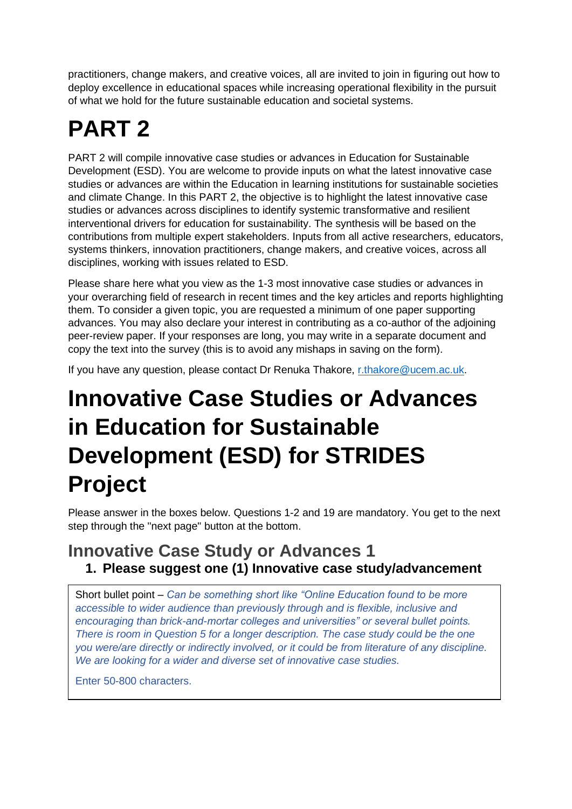practitioners, change makers, and creative voices, all are invited to join in figuring out how to deploy excellence in educational spaces while increasing operational flexibility in the pursuit of what we hold for the future sustainable education and societal systems.

## **PART 2**

PART 2 will compile innovative case studies or advances in Education for Sustainable Development (ESD). You are welcome to provide inputs on what the latest innovative case studies or advances are within the Education in learning institutions for sustainable societies and climate Change. In this PART 2, the objective is to highlight the latest innovative case studies or advances across disciplines to identify systemic transformative and resilient interventional drivers for education for sustainability. The synthesis will be based on the contributions from multiple expert stakeholders. Inputs from all active researchers, educators, systems thinkers, innovation practitioners, change makers, and creative voices, across all disciplines, working with issues related to ESD.

Please share here what you view as the 1-3 most innovative case studies or advances in your overarching field of research in recent times and the key articles and reports highlighting them. To consider a given topic, you are requested a minimum of one paper supporting advances. You may also declare your interest in contributing as a co-author of the adjoining peer-review paper. If your responses are long, you may write in a separate document and copy the text into the survey (this is to avoid any mishaps in saving on the form).

If you have any question, please contact Dr Renuka Thakore, [r.thakore@ucem.ac.uk.](mailto:r.thakore@ucem.ac.uk)

## **Innovative Case Studies or Advances in Education for Sustainable Development (ESD) for STRIDES Project**

Please answer in the boxes below. Questions 1-2 and 19 are mandatory. You get to the next step through the "next page" button at the bottom.

## **Innovative Case Study or Advances 1 1. Please suggest one (1) Innovative case study/advancement**

Short bullet point – *Can be something short like "Online Education found to be more accessible to wider audience than previously through and is flexible, inclusive and encouraging than brick-and-mortar colleges and universities" or several bullet points. There is room in Question 5 for a longer description. The case study could be the one you were/are directly or indirectly involved, or it could be from literature of any discipline. We are looking for a wider and diverse set of innovative case studies.*

Enter 50-800 characters.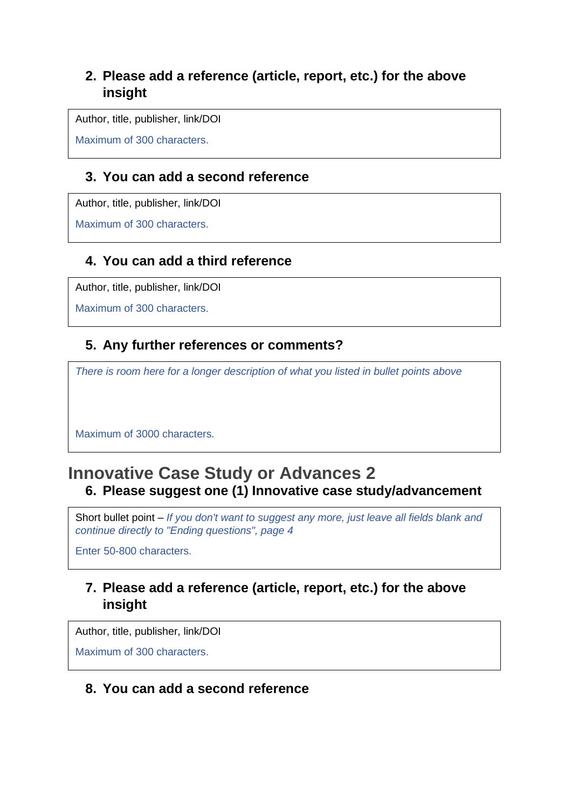#### **2. Please add a reference (article, report, etc.) for the above insight**

Author, title, publisher, link/DOI

Maximum of 300 characters.

#### **3. You can add a second reference**

Author, title, publisher, link/DOI

Maximum of 300 characters.

## **4. You can add a third reference**

Author, title, publisher, link/DOI

Maximum of 300 characters.

## **5. Any further references or comments?**

*There is room here for a longer description of what you listed in bullet points above*

Maximum of 3000 characters.

## **Innovative Case Study or Advances 2 6. Please suggest one (1) Innovative case study/advancement**

Short bullet point – *If you don't want to suggest any more, just leave all fields blank and continue directly to "Ending questions", page 4*

Enter 50-800 characters.

## **7. Please add a reference (article, report, etc.) for the above insight**

Author, title, publisher, link/DOI

Maximum of 300 characters.

#### **8. You can add a second reference**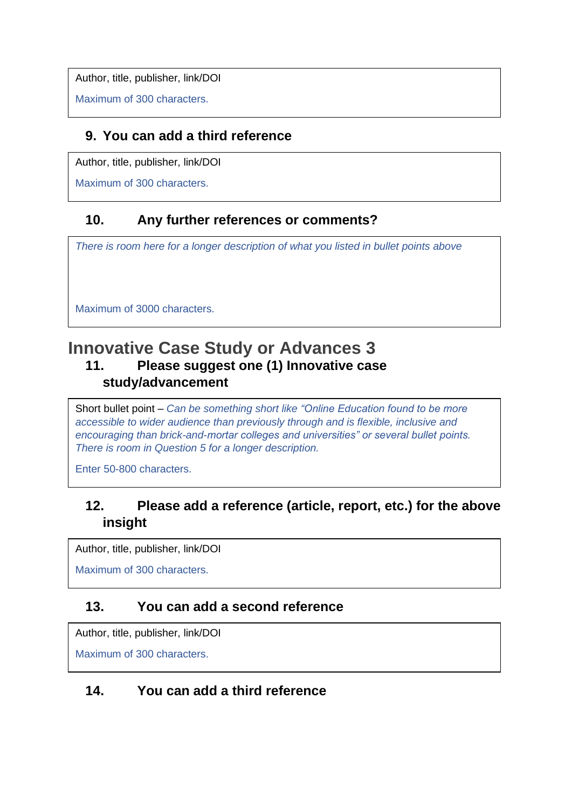Author, title, publisher, link/DOI

Maximum of 300 characters.

#### **9. You can add a third reference**

Author, title, publisher, link/DOI

Maximum of 300 characters.

## **10. Any further references or comments?**

*There is room here for a longer description of what you listed in bullet points above*

Maximum of 3000 characters.

## **Innovative Case Study or Advances 3 11. Please suggest one (1) Innovative case study/advancement**

Short bullet point – *Can be something short like "Online Education found to be more accessible to wider audience than previously through and is flexible, inclusive and encouraging than brick-and-mortar colleges and universities" or several bullet points. There is room in Question 5 for a longer description.*

Enter 50-800 characters.

## **12. Please add a reference (article, report, etc.) for the above insight**

Author, title, publisher, link/DOI

Maximum of 300 characters.

#### **13. You can add a second reference**

Author, title, publisher, link/DOI

Maximum of 300 characters.

#### **14. You can add a third reference**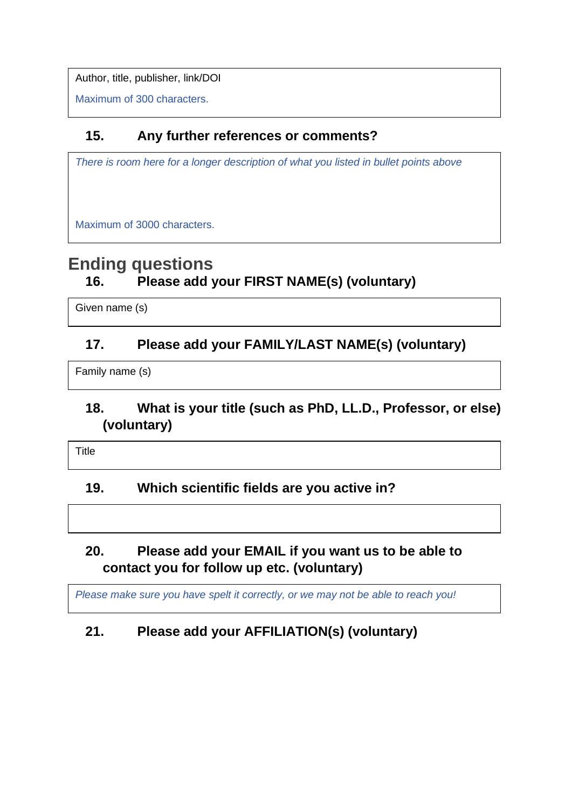Author, title, publisher, link/DOI

Maximum of 300 characters.

## **15. Any further references or comments?**

*There is room here for a longer description of what you listed in bullet points above*

Maximum of 3000 characters.

## **Ending questions 16. Please add your FIRST NAME(s) (voluntary)**

Given name (s)

## **17. Please add your FAMILY/LAST NAME(s) (voluntary)**

Family name (s)

## **18. What is your title (such as PhD, LL.D., Professor, or else) (voluntary)**

Title

#### **19. Which scientific fields are you active in?**

## **20. Please add your EMAIL if you want us to be able to contact you for follow up etc. (voluntary)**

*Please make sure you have spelt it correctly, or we may not be able to reach you!*

## **21. Please add your AFFILIATION(s) (voluntary)**